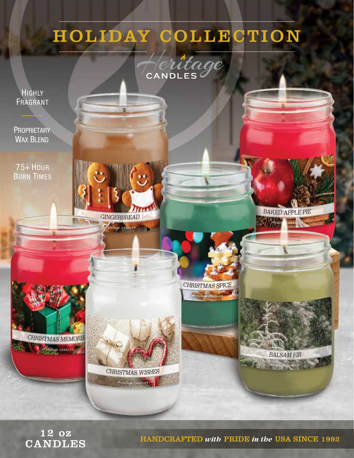# HOLIDAY COLLECTION



**HIGHLY** FRAGRANT

**PROPRIETARY WAX BLEND** 

**75+ HOUR BURN TIMES** 



CHRISTMAS SPICE + critage exhibites



CHRISTMAS WISHES

Centage CANDLES



**BALSAM FIR** 

**GOOD CANDL** 

**BAKED APPLE PIE** 

**Marina** 

12 oz **CANDLES** 

**HANDCRAFTED with PRIDE in the USA SINCE 1992**